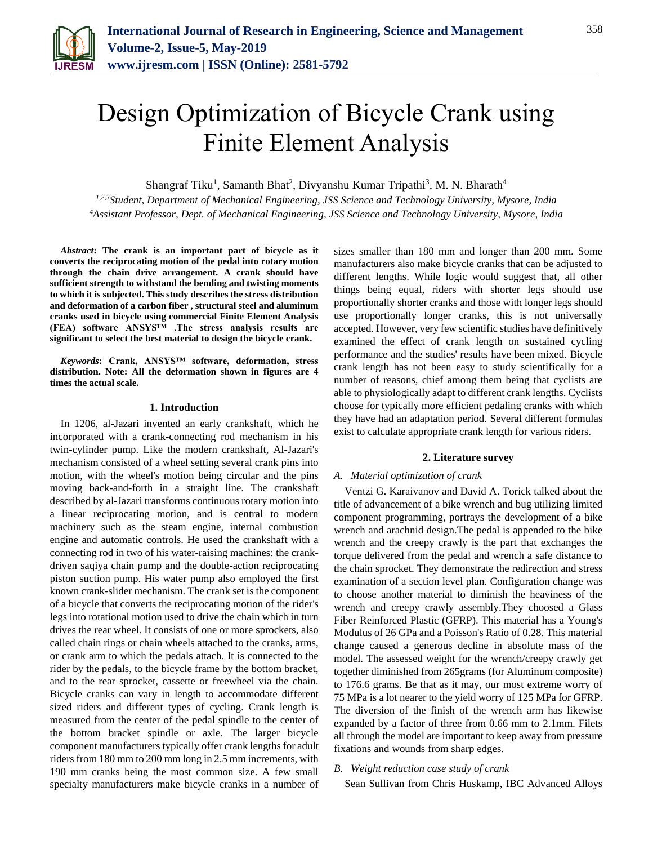

# Design Optimization of Bicycle Crank using Finite Element Analysis

Shangraf Tiku<sup>1</sup>, Samanth Bhat<sup>2</sup>, Divyanshu Kumar Tripathi<sup>3</sup>, M. N. Bharath<sup>4</sup>

*1,2,3Student, Department of Mechanical Engineering, JSS Science and Technology University, Mysore, India <sup>4</sup>Assistant Professor, Dept. of Mechanical Engineering, JSS Science and Technology University, Mysore, India*

*Abstract***: The crank is an important part of bicycle as it converts the reciprocating motion of the pedal into rotary motion through the chain drive arrangement. A crank should have sufficient strength to withstand the bending and twisting moments to which it is subjected. This study describes the stress distribution and deformation of a carbon fiber , structural steel and aluminum cranks used in bicycle using commercial Finite Element Analysis (FEA) software ANSYS™ .The stress analysis results are significant to select the best material to design the bicycle crank.**

*Keywords***: Crank, ANSYS™ software, deformation, stress distribution. Note: All the deformation shown in figures are 4 times the actual scale.**

#### **1. Introduction**

In 1206, al-Jazari invented an early crankshaft, which he incorporated with a crank-connecting rod mechanism in his twin-cylinder pump. Like the modern crankshaft, Al-Jazari's mechanism consisted of a wheel setting several crank pins into motion, with the wheel's motion being circular and the pins moving back-and-forth in a straight line. The crankshaft described by al-Jazari transforms continuous rotary motion into a linear reciprocating motion, and is central to modern machinery such as the steam engine, internal combustion engine and automatic controls. He used the crankshaft with a connecting rod in two of his water-raising machines: the crankdriven saqiya chain pump and the double-action reciprocating piston suction pump. His water pump also employed the first known crank-slider mechanism. The crank set is the component of a bicycle that converts the reciprocating motion of the rider's legs into rotational motion used to drive the chain which in turn drives the rear wheel. It consists of one or more sprockets, also called chain rings or chain wheels attached to the cranks, arms, or crank arm to which the pedals attach. It is connected to the rider by the pedals, to the bicycle frame by the bottom bracket, and to the rear sprocket, cassette or freewheel via the chain. Bicycle cranks can vary in length to accommodate different sized riders and different types of cycling. Crank length is measured from the center of the pedal spindle to the center of the bottom bracket spindle or axle. The larger bicycle component manufacturers typically offer crank lengths for adult riders from 180 mm to 200 mm long in 2.5 mm increments, with 190 mm cranks being the most common size. A few small specialty manufacturers make bicycle cranks in a number of sizes smaller than 180 mm and longer than 200 mm. Some manufacturers also make bicycle cranks that can be adjusted to different lengths. While logic would suggest that, all other things being equal, riders with shorter legs should use proportionally shorter cranks and those with longer legs should use proportionally longer cranks, this is not universally accepted. However, very few scientific studies have definitively examined the effect of crank length on sustained cycling performance and the studies' results have been mixed. Bicycle crank length has not been easy to study scientifically for a number of reasons, chief among them being that cyclists are able to physiologically adapt to different crank lengths. Cyclists choose for typically more efficient pedaling cranks with which they have had an adaptation period. Several different formulas exist to calculate appropriate crank length for various riders.

#### **2. Literature survey**

## *A. Material optimization of crank*

Ventzi G. Karaivanov and David A. Torick talked about the title of advancement of a bike wrench and bug utilizing limited component programming, portrays the development of a bike wrench and arachnid design.The pedal is appended to the bike wrench and the creepy crawly is the part that exchanges the torque delivered from the pedal and wrench a safe distance to the chain sprocket. They demonstrate the redirection and stress examination of a section level plan. Configuration change was to choose another material to diminish the heaviness of the wrench and creepy crawly assembly.They choosed a Glass Fiber Reinforced Plastic (GFRP). This material has a Young's Modulus of 26 GPa and a Poisson's Ratio of 0.28. This material change caused a generous decline in absolute mass of the model. The assessed weight for the wrench/creepy crawly get together diminished from 265grams (for Aluminum composite) to 176.6 grams. Be that as it may, our most extreme worry of 75 MPa is a lot nearer to the yield worry of 125 MPa for GFRP. The diversion of the finish of the wrench arm has likewise expanded by a factor of three from 0.66 mm to 2.1mm. Filets all through the model are important to keep away from pressure fixations and wounds from sharp edges.

### *B. Weight reduction case study of crank*

Sean Sullivan from Chris Huskamp, IBC Advanced Alloys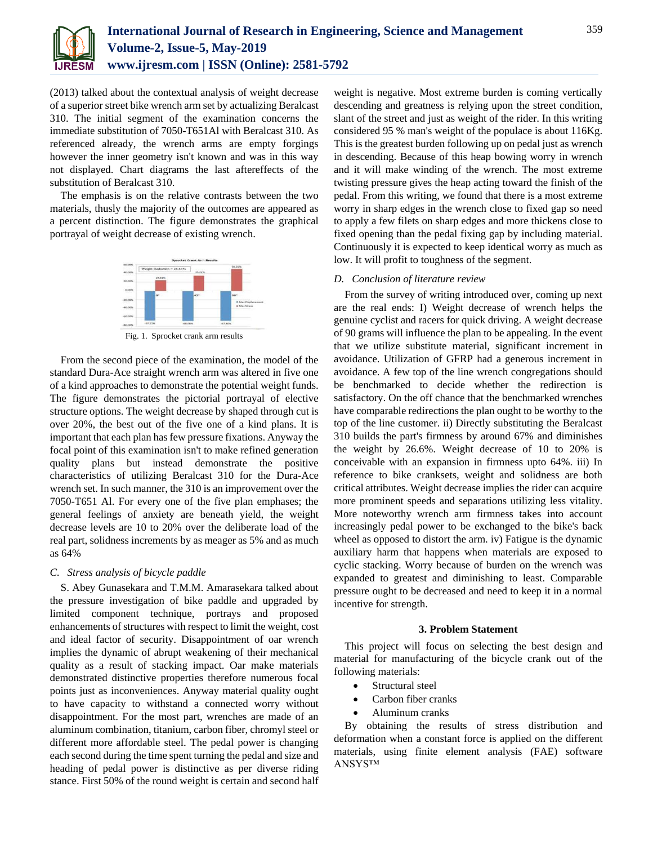

(2013) talked about the contextual analysis of weight decrease of a superior street bike wrench arm set by actualizing Beralcast 310. The initial segment of the examination concerns the immediate substitution of 7050-T651Al with Beralcast 310. As referenced already, the wrench arms are empty forgings however the inner geometry isn't known and was in this way not displayed. Chart diagrams the last aftereffects of the substitution of Beralcast 310.

The emphasis is on the relative contrasts between the two materials, thusly the majority of the outcomes are appeared as a percent distinction. The figure demonstrates the graphical portrayal of weight decrease of existing wrench.



Fig. 1. Sprocket crank arm results

From the second piece of the examination, the model of the standard Dura-Ace straight wrench arm was altered in five one of a kind approaches to demonstrate the potential weight funds. The figure demonstrates the pictorial portrayal of elective structure options. The weight decrease by shaped through cut is over 20%, the best out of the five one of a kind plans. It is important that each plan has few pressure fixations. Anyway the focal point of this examination isn't to make refined generation quality plans but instead demonstrate the positive characteristics of utilizing Beralcast 310 for the Dura-Ace wrench set. In such manner, the 310 is an improvement over the 7050-T651 Al. For every one of the five plan emphases; the general feelings of anxiety are beneath yield, the weight decrease levels are 10 to 20% over the deliberate load of the real part, solidness increments by as meager as 5% and as much as 64%

#### *C. Stress analysis of bicycle paddle*

S. Abey Gunasekara and T.M.M. Amarasekara talked about the pressure investigation of bike paddle and upgraded by limited component technique, portrays and proposed enhancements of structures with respect to limit the weight, cost and ideal factor of security. Disappointment of oar wrench implies the dynamic of abrupt weakening of their mechanical quality as a result of stacking impact. Oar make materials demonstrated distinctive properties therefore numerous focal points just as inconveniences. Anyway material quality ought to have capacity to withstand a connected worry without disappointment. For the most part, wrenches are made of an aluminum combination, titanium, carbon fiber, chromyl steel or different more affordable steel. The pedal power is changing each second during the time spent turning the pedal and size and heading of pedal power is distinctive as per diverse riding stance. First 50% of the round weight is certain and second half

weight is negative. Most extreme burden is coming vertically descending and greatness is relying upon the street condition, slant of the street and just as weight of the rider. In this writing considered 95 % man's weight of the populace is about 116Kg. This is the greatest burden following up on pedal just as wrench in descending. Because of this heap bowing worry in wrench and it will make winding of the wrench. The most extreme twisting pressure gives the heap acting toward the finish of the pedal. From this writing, we found that there is a most extreme worry in sharp edges in the wrench close to fixed gap so need to apply a few filets on sharp edges and more thickens close to fixed opening than the pedal fixing gap by including material. Continuously it is expected to keep identical worry as much as low. It will profit to toughness of the segment.

#### *D. Conclusion of literature review*

From the survey of writing introduced over, coming up next are the real ends: I) Weight decrease of wrench helps the genuine cyclist and racers for quick driving. A weight decrease of 90 grams will influence the plan to be appealing. In the event that we utilize substitute material, significant increment in avoidance. Utilization of GFRP had a generous increment in avoidance. A few top of the line wrench congregations should be benchmarked to decide whether the redirection is satisfactory. On the off chance that the benchmarked wrenches have comparable redirections the plan ought to be worthy to the top of the line customer. ii) Directly substituting the Beralcast 310 builds the part's firmness by around 67% and diminishes the weight by 26.6%. Weight decrease of 10 to 20% is conceivable with an expansion in firmness upto 64%. iii) In reference to bike cranksets, weight and solidness are both critical attributes. Weight decrease implies the rider can acquire more prominent speeds and separations utilizing less vitality. More noteworthy wrench arm firmness takes into account increasingly pedal power to be exchanged to the bike's back wheel as opposed to distort the arm. iv) Fatigue is the dynamic auxiliary harm that happens when materials are exposed to cyclic stacking. Worry because of burden on the wrench was expanded to greatest and diminishing to least. Comparable pressure ought to be decreased and need to keep it in a normal incentive for strength.

#### **3. Problem Statement**

This project will focus on selecting the best design and material for manufacturing of the bicycle crank out of the following materials:

- Structural steel
- Carbon fiber cranks
- Aluminum cranks

By obtaining the results of stress distribution and deformation when a constant force is applied on the different materials, using finite element analysis (FAE) software ANSYS™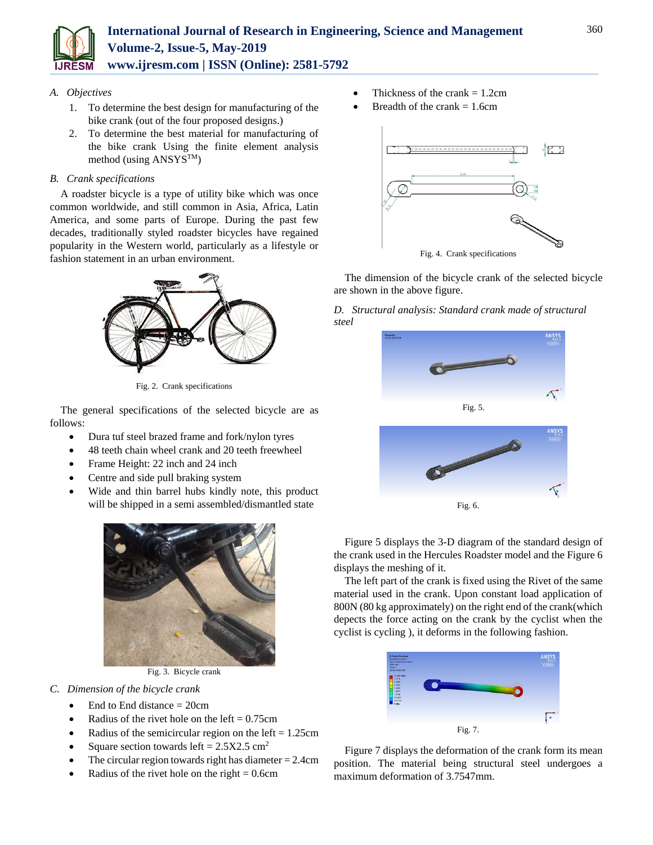

## *A. Objectives*

- 1. To determine the best design for manufacturing of the bike crank (out of the four proposed designs.)
- 2. To determine the best material for manufacturing of the bike crank Using the finite element analysis method (using ANSYSTM)

# *B. Crank specifications*

A roadster bicycle is a type of utility bike which was once common worldwide, and still common in Asia, Africa, Latin America, and some parts of Europe. During the past few decades, traditionally styled roadster bicycles have regained popularity in the Western world, particularly as a lifestyle or fashion statement in an urban environment.



Fig. 2. Crank specifications

The general specifications of the selected bicycle are as follows:

- Dura tuf steel brazed frame and fork/nylon tyres
- 48 teeth chain wheel crank and 20 teeth freewheel
- Frame Height: 22 inch and 24 inch
- Centre and side pull braking system
- Wide and thin barrel hubs kindly note, this product will be shipped in a semi assembled/dismantled state



Fig. 3. Bicycle crank

- *C. Dimension of the bicycle crank*
	- $\bullet$  End to End distance = 20cm
	- Radius of the rivet hole on the left  $= 0.75$ cm
	- Radius of the semicircular region on the left  $= 1.25$ cm
	- Square section towards left =  $2.5X2.5 \text{ cm}^2$
	- The circular region towards right has diameter  $= 2.4$ cm
	- Radius of the rivet hole on the right  $= 0.6$ cm
- Thickness of the crank  $= 1.2$ cm
- Breadth of the crank  $= 1.6$ cm



The dimension of the bicycle crank of the selected bicycle are shown in the above figure.

*D. Structural analysis: Standard crank made of structural steel*



Figure 5 displays the 3-D diagram of the standard design of the crank used in the Hercules Roadster model and the Figure 6 displays the meshing of it.

The left part of the crank is fixed using the Rivet of the same material used in the crank. Upon constant load application of 800N (80 kg approximately) on the right end of the crank(which depects the force acting on the crank by the cyclist when the cyclist is cycling ), it deforms in the following fashion.



Figure 7 displays the deformation of the crank form its mean position. The material being structural steel undergoes a maximum deformation of 3.7547mm.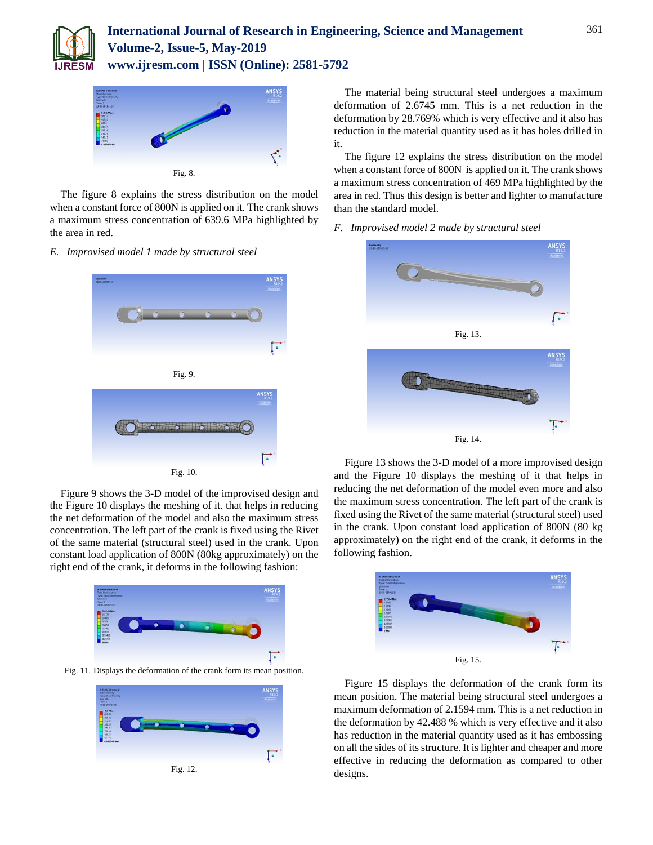



The figure 8 explains the stress distribution on the model when a constant force of 800N is applied on it. The crank shows a maximum stress concentration of 639.6 MPa highlighted by the area in red.

#### *E. Improvised model 1 made by structural steel*





Figure 9 shows the 3-D model of the improvised design and the Figure 10 displays the meshing of it. that helps in reducing the net deformation of the model and also the maximum stress concentration. The left part of the crank is fixed using the Rivet of the same material (structural steel) used in the crank. Upon constant load application of 800N (80kg approximately) on the right end of the crank, it deforms in the following fashion:



Fig. 11. Displays the deformation of the crank form its mean position.



The material being structural steel undergoes a maximum deformation of 2.6745 mm. This is a net reduction in the deformation by 28.769% which is very effective and it also has reduction in the material quantity used as it has holes drilled in it.

The figure 12 explains the stress distribution on the model when a constant force of 800N is applied on it. The crank shows a maximum stress concentration of 469 MPa highlighted by the area in red. Thus this design is better and lighter to manufacture than the standard model.

*F. Improvised model 2 made by structural steel*



Figure 13 shows the 3-D model of a more improvised design and the Figure 10 displays the meshing of it that helps in reducing the net deformation of the model even more and also the maximum stress concentration. The left part of the crank is fixed using the Rivet of the same material (structural steel) used in the crank. Upon constant load application of 800N (80 kg approximately) on the right end of the crank, it deforms in the following fashion.



Figure 15 displays the deformation of the crank form its mean position. The material being structural steel undergoes a maximum deformation of 2.1594 mm. This is a net reduction in the deformation by 42.488 % which is very effective and it also has reduction in the material quantity used as it has embossing on all the sides of its structure. It is lighter and cheaper and more effective in reducing the deformation as compared to other designs.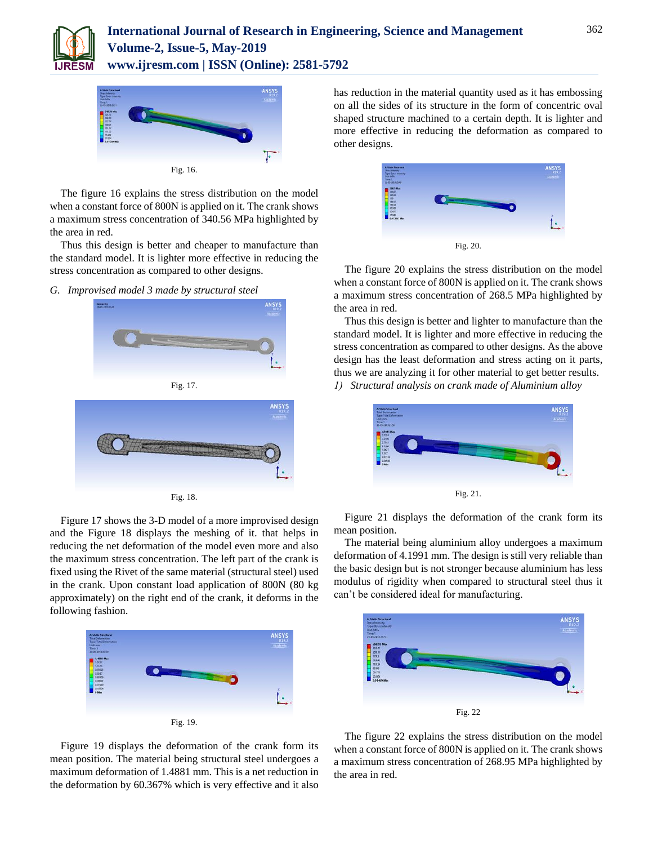



The figure 16 explains the stress distribution on the model when a constant force of 800N is applied on it. The crank shows a maximum stress concentration of 340.56 MPa highlighted by the area in red.

Thus this design is better and cheaper to manufacture than the standard model. It is lighter more effective in reducing the stress concentration as compared to other designs.

*G. Improvised model 3 made by structural steel*



Fig. 17.



Fig. 18.

Figure 17 shows the 3-D model of a more improvised design and the Figure 18 displays the meshing of it. that helps in reducing the net deformation of the model even more and also the maximum stress concentration. The left part of the crank is fixed using the Rivet of the same material (structural steel) used in the crank. Upon constant load application of 800N (80 kg approximately) on the right end of the crank, it deforms in the following fashion.



Figure 19 displays the deformation of the crank form its mean position. The material being structural steel undergoes a maximum deformation of 1.4881 mm. This is a net reduction in the deformation by 60.367% which is very effective and it also

has reduction in the material quantity used as it has embossing on all the sides of its structure in the form of concentric oval shaped structure machined to a certain depth. It is lighter and more effective in reducing the deformation as compared to other designs.



The figure 20 explains the stress distribution on the model when a constant force of 800N is applied on it. The crank shows a maximum stress concentration of 268.5 MPa highlighted by the area in red.

Thus this design is better and lighter to manufacture than the standard model. It is lighter and more effective in reducing the stress concentration as compared to other designs. As the above design has the least deformation and stress acting on it parts, thus we are analyzing it for other material to get better results. *1) Structural analysis on crank made of Aluminium alloy*



Figure 21 displays the deformation of the crank form its mean position.

The material being aluminium alloy undergoes a maximum deformation of 4.1991 mm. The design is still very reliable than the basic design but is not stronger because aluminium has less modulus of rigidity when compared to structural steel thus it can't be considered ideal for manufacturing.



The figure 22 explains the stress distribution on the model when a constant force of 800N is applied on it. The crank shows a maximum stress concentration of 268.95 MPa highlighted by the area in red.